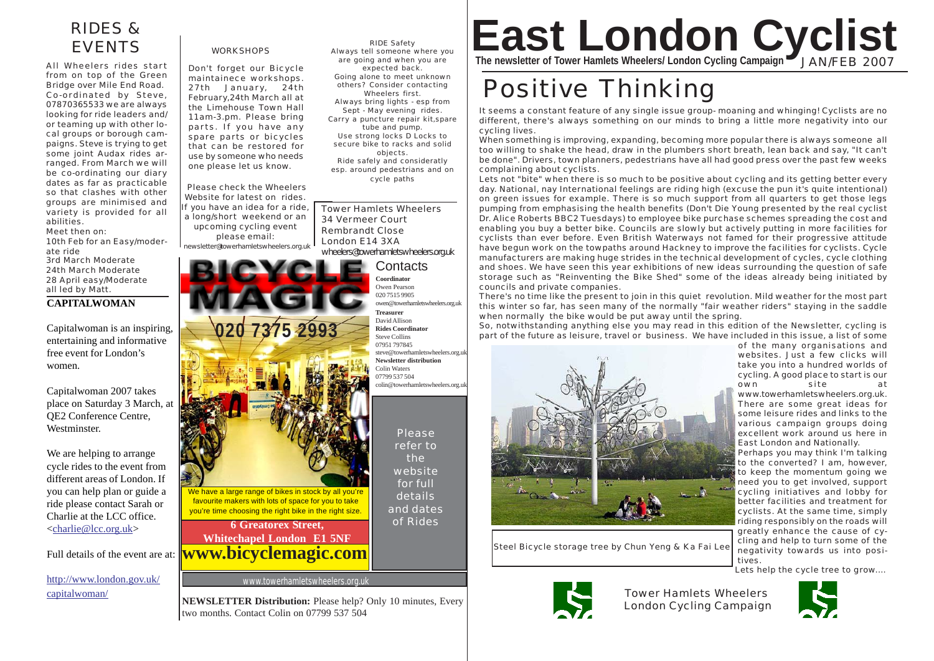# RIDES & EVENTS

All Wheelers rides start from on top of the Green Bridge over Mile End Road. Co-ordinated by Steve, 07870365533 we are always looking for ride leaders and/ or teaming up with other local groups or borough campaigns. Steve is trying to get some joint Audax rides arranged. From March we will be co-ordinating our diary dates as far as practicable so that clashes with other groups are minimised and variety is provided for all abilities.

Meet then on: 10th Feb for an Easy/moderate ride 3rd March Moderate 24th March Moderate 28 April easy/Moderate all led by Matt.

# **CAPITALWOMAN**

Capitalwoman is an inspiring, entertaining and informative free event for London's women.

Capitalwoman 2007 takes place on Saturday 3 March, at QE2 Conference Centre, **Westminster** 

We are helping to arrange cycle rides to the event from different areas of London. If you can help plan or guide a ride please contact Sarah or Charlie at the LCC office. <charlie@lcc.org.uk>

Full details of the event are at:

http://www.london.gov.uk/ capitalwoman/

**WORKSHOPS** 

Don't forget our Bicycle maintainece workshops. 27th January, 24th February,24th March all at the Limehouse Town Hall 11am-3.pm. Please bring parts. If you have any spare parts or bicycles that can be restored for use by someone who needs one please let us know.

Please check the Wheelers Website for latest on rides. If you have an idea for a ride, a long/short weekend or an upcoming cycling event please email: newsletter@towerhamletswheelers.org.uk



**NEWSLETTER Distribution:** Please help? Only 10 minutes, Every two months. Contact Colin on 07799 537 504

RIDE Safety Always tell someone where you are going and when you are expected back. Going alone to meet unknown others? Consider contacting Wheelers first. Always bring lights - esp from Sept - May evening rides. Carry a puncture repair kit,spare tube and pump. Use strong locks D Locks to secure bike to racks and solid objects. Ride safely and consideratly esp. around pedestrians and on cycle paths

Tower Hamlets Wheelers 34 Vermeer Court Rembrandt Close London E14 3XA wheelers@towerhamletswheelers.org.uk

> **Contacts Coordinator** Owen Pearson 020 7515 9905 owen@towerhamletswheelers.org.uk **Treasurer** David Allison **Rides Coordinator** Steve Collins 07951 797845 steve@towerhamletswheelers.org.uk **Newsletter distribution** Colin Waters 07799 537 504 colin@towerhamletswheelers.org.uk

> > Please refer to the website for full details and dates of Rides

# **East London Cyclist The newsletter of Tower Hamlets Wheelers/ London Cycling Campaign** JAN/FEB 2007

# Positive Thinking

It seems a constant feature of any single issue group- moaning and whinging! Cyclists are no different, there's always something on our minds to bring a little more negativity into our cycling lives.

When something is improving, expanding, becoming more popular there is always someone all too willing to shake the head, draw in the plumbers short breath, lean back and say, "It can't be done". Drivers, town planners, pedestrians have all had good press over the past few weeks complaining about cyclists.

Lets not "bite" when there is so much to be positive about cycling and its getting better every day. National, nay International feelings are riding high (excuse the pun it's quite intentional) on green issues for example. There is so much support from all quarters to get those legs pumping from emphasising the health benefits (Don't Die Young presented by the real cyclist Dr. Alice Roberts BBC2 Tuesdays) to employee bike purchase schemes spreading the cost and enabling you buy a better bike. Councils are slowly but actively putting in more facilities for cyclists than ever before. Even British Waterways not famed for their progressive attitude have begun work on the towpaths around Hackney to improve the facilities for cyclists. Cycle manufacturers are making huge strides in the technical development of cycles, cycle clothing and shoes. We have seen this year exhibitions of new ideas surrounding the question of safe storage such as "Reinventing the Bike Shed" some of the ideas already being initiated by councils and private companies.

There's no time like the present to join in this quiet revolution. Mild weather for the most part this winter so far, has seen many of the normally "fair weather riders" staying in the saddle when normally the bike would be put away until the spring.

So, notwithstanding anything else you may read in this edition of the Newsletter, cycling is part of the future as leisure, travel or business. We have included in this issue, a list of some



Steel Bicycle storage tree by Chun Yeng & Ka Fai Lee



Tower Hamlets Wheelers London Cycling Campaign



take you into a hundred worlds of cycling. A good place to start is our own site at www.towerhamletswheelers.org.uk. There are some great ideas for some leisure rides and links to the various campaign groups doing excellent work around us here in East London and Nationally. Perhaps you may think I'm talking

of the many organisations and websites. Just a few clicks will

to the converted? I am, however, to keep the momentum going we need you to get involved, support cycling initiatives and lobby for better facilities and treatment for cyclists. At the same time, simply riding responsibly on the roads will greatly enhance the cause of cycling and help to turn some of the negativity towards us into positives.

Lets help the cycle tree to grow....